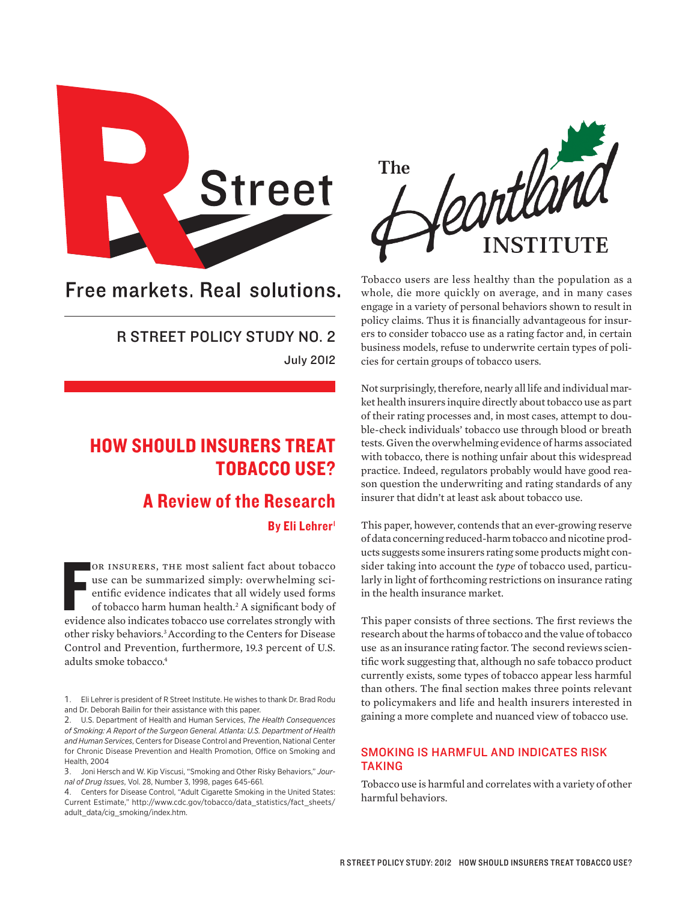

Free markets. Real solutions.

## R STREET POLICY STUDY NO. 2 July 2012

# HOW SHOULD INSURERS TREAT TOBACCO USE?

## A Review of the Research

By Eli Lehrer<sup>1</sup>

OR INSURERS, THE most salient fact about tobacco use can be summarized simply: overwhelming scientific evidence indicates that all widely used forms of tobacco harm human health.<sup>2</sup> A significant body of evidence also indi or insurers, the most salient fact about tobacco use can be summarized simply: overwhelming scientific evidence indicates that all widely used forms of tobacco harm human health.<sup>2</sup> A significant body of other risky behaviors.3 According to the Centers for Disease Control and Prevention, furthermore, 19.3 percent of U.S. adults smoke tobacco.4

4. Centers for Disease Control, "Adult Cigarette Smoking in the United States: Current Estimate," http://www.cdc.gov/tobacco/data\_statistics/fact\_sheets/ adult\_data/cig\_smoking/index.htm.



Tobacco users are less healthy than the population as a whole, die more quickly on average, and in many cases engage in a variety of personal behaviors shown to result in policy claims. Thus it is financially advantageous for insurers to consider tobacco use as a rating factor and, in certain business models, refuse to underwrite certain types of policies for certain groups of tobacco users.

Not surprisingly, therefore, nearly all life and individual market health insurers inquire directly about tobacco use as part of their rating processes and, in most cases, attempt to double-check individuals' tobacco use through blood or breath tests. Given the overwhelming evidence of harms associated with tobacco, there is nothing unfair about this widespread practice. Indeed, regulators probably would have good reason question the underwriting and rating standards of any insurer that didn't at least ask about tobacco use.

This paper, however, contends that an ever-growing reserve of data concerning reduced-harm tobacco and nicotine products suggests some insurers rating some products might consider taking into account the *type* of tobacco used, particularly in light of forthcoming restrictions on insurance rating in the health insurance market.

This paper consists of three sections. The first reviews the research about the harms of tobacco and the value of tobacco use as an insurance rating factor. The second reviews scientific work suggesting that, although no safe tobacco product currently exists, some types of tobacco appear less harmful than others. The final section makes three points relevant to policymakers and life and health insurers interested in gaining a more complete and nuanced view of tobacco use.

### SMOKING IS HARMFUL AND INDICATES RISK TAKING

Tobacco use is harmful and correlates with a variety of other harmful behaviors.

<sup>1.</sup> Eli Lehrer is president of R Street Institute. He wishes to thank Dr. Brad Rodu and Dr. Deborah Bailin for their assistance with this paper.

<sup>2.</sup> U.S. Department of Health and Human Services, *The Health Consequences of Smoking: A Report of the Surgeon General. Atlanta: U.S. Department of Health and Human Services*, Centers for Disease Control and Prevention, National Center for Chronic Disease Prevention and Health Promotion, Office on Smoking and Health, 2004

<sup>3.</sup> Joni Hersch and W. Kip Viscusi, "Smoking and Other Risky Behaviors," *Journal of Drug Issues*, Vol. 28, Number 3, 1998, pages 645-661.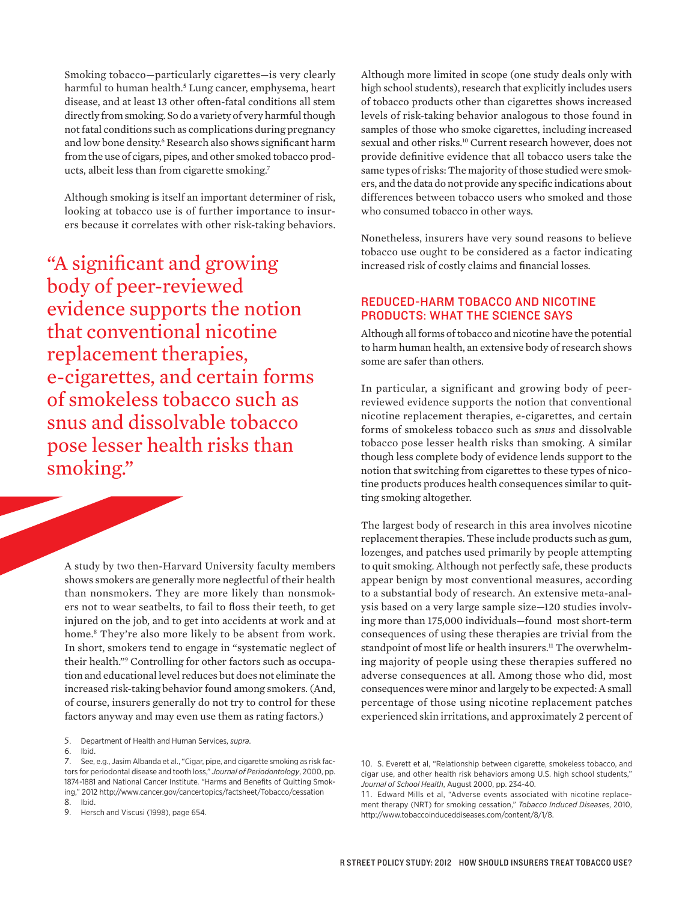Smoking tobacco—particularly cigarettes—is very clearly harmful to human health.5 Lung cancer, emphysema, heart disease, and at least 13 other often-fatal conditions all stem directly from smoking. So do a variety of very harmful though not fatal conditions such as complications during pregnancy and low bone density.<sup>6</sup> Research also shows significant harm from the use of cigars, pipes, and other smoked tobacco products, albeit less than from cigarette smoking.7

Although smoking is itself an important determiner of risk, looking at tobacco use is of further importance to insurers because it correlates with other risk-taking behaviors.

"A significant and growing body of peer-reviewed evidence supports the notion that conventional nicotine replacement therapies, e-cigarettes, and certain forms of smokeless tobacco such as snus and dissolvable tobacco pose lesser health risks than smoking."

A study by two then-Harvard University faculty members shows smokers are generally more neglectful of their health than nonsmokers. They are more likely than nonsmokers not to wear seatbelts, to fail to floss their teeth, to get injured on the job, and to get into accidents at work and at home.8 They're also more likely to be absent from work. In short, smokers tend to engage in "systematic neglect of their health."9 Controlling for other factors such as occupation and educational level reduces but does not eliminate the increased risk-taking behavior found among smokers. (And, of course, insurers generally do not try to control for these factors anyway and may even use them as rating factors.)

5. Department of Health and Human Services, *supra*.

Although more limited in scope (one study deals only with high school students), research that explicitly includes users of tobacco products other than cigarettes shows increased levels of risk-taking behavior analogous to those found in samples of those who smoke cigarettes, including increased sexual and other risks.<sup>10</sup> Current research however, does not provide definitive evidence that all tobacco users take the same types of risks: The majority of those studied were smokers, and the data do not provide any specific indications about differences between tobacco users who smoked and those who consumed tobacco in other ways.

Nonetheless, insurers have very sound reasons to believe tobacco use ought to be considered as a factor indicating increased risk of costly claims and financial losses.

#### REDUCED-HARM TOBACCO AND NICOTINE PRODUCTS: WHAT THE SCIENCE SAYS

Although all forms of tobacco and nicotine have the potential to harm human health, an extensive body of research shows some are safer than others.

In particular, a significant and growing body of peerreviewed evidence supports the notion that conventional nicotine replacement therapies, e-cigarettes, and certain forms of smokeless tobacco such as *snus* and dissolvable tobacco pose lesser health risks than smoking. A similar though less complete body of evidence lends support to the notion that switching from cigarettes to these types of nicotine products produces health consequences similar to quitting smoking altogether.

The largest body of research in this area involves nicotine replacement therapies. These include products such as gum, lozenges, and patches used primarily by people attempting to quit smoking. Although not perfectly safe, these products appear benign by most conventional measures, according to a substantial body of research. An extensive meta-analysis based on a very large sample size—120 studies involving more than 175,000 individuals—found most short-term consequences of using these therapies are trivial from the standpoint of most life or health insurers.<sup>11</sup> The overwhelming majority of people using these therapies suffered no adverse consequences at all. Among those who did, most consequences were minor and largely to be expected: A small percentage of those using nicotine replacement patches experienced skin irritations, and approximately 2 percent of

<sup>6.</sup> Ibid.

<sup>7.</sup> See, e.g., Jasim Albanda et al., "Cigar, pipe, and cigarette smoking as risk factors for periodontal disease and tooth loss," *Journal of Periodontology*, 2000, pp. 1874-1881 and National Cancer Institute. "Harms and Benefits of Quitting Smoking," 2012 http://www.cancer.gov/cancertopics/factsheet/Tobacco/cessation 8. Ibid.

<sup>9.</sup> Hersch and Viscusi (1998), page 654.

<sup>10.</sup> S. Everett et al, "Relationship between cigarette, smokeless tobacco, and cigar use, and other health risk behaviors among U.S. high school students," *Journal of School Health*, August 2000, pp. 234-40.

<sup>11.</sup> Edward Mills et al, "Adverse events associated with nicotine replacement therapy (NRT) for smoking cessation," *Tobacco Induced Diseases*, 2010, http://www.tobaccoinduceddiseases.com/content/8/1/8.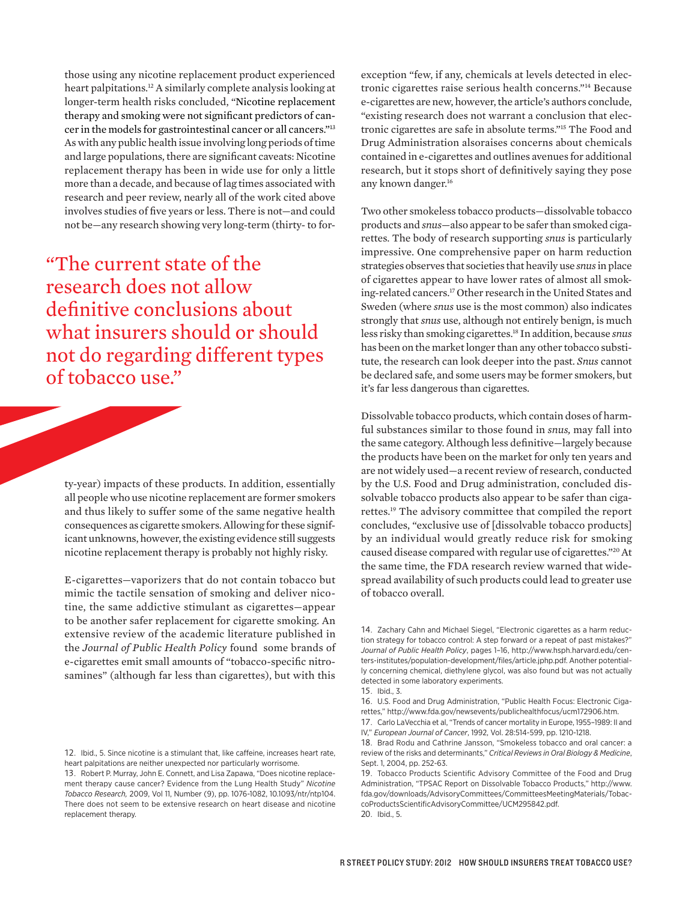those using any nicotine replacement product experienced heart palpitations.12 A similarly complete analysis looking at longer-term health risks concluded, "Nicotine replacement therapy and smoking were not significant predictors of cancer in the models for gastrointestinal cancer or all cancers."13 As with any public health issue involving long periods of time and large populations, there are significant caveats: Nicotine replacement therapy has been in wide use for only a little more than a decade, and because of lag times associated with research and peer review, nearly all of the work cited above involves studies of five years or less. There is not—and could not be—any research showing very long-term (thirty- to for-

"The current state of the research does not allow definitive conclusions about what insurers should or should not do regarding different types of tobacco use."

ty-year) impacts of these products. In addition, essentially all people who use nicotine replacement are former smokers and thus likely to suffer some of the same negative health consequences as cigarette smokers. Allowing for these significant unknowns, however, the existing evidence still suggests nicotine replacement therapy is probably not highly risky.

E-cigarettes—vaporizers that do not contain tobacco but mimic the tactile sensation of smoking and deliver nicotine, the same addictive stimulant as cigarettes—appear to be another safer replacement for cigarette smoking. An extensive review of the academic literature published in the *Journal of Public Health Policy* found some brands of e-cigarettes emit small amounts of "tobacco-specific nitrosamines" (although far less than cigarettes), but with this

exception "few, if any, chemicals at levels detected in electronic cigarettes raise serious health concerns."14 Because e-cigarettes are new, however, the article's authors conclude, "existing research does not warrant a conclusion that electronic cigarettes are safe in absolute terms."15 The Food and Drug Administration alsoraises concerns about chemicals contained in e-cigarettes and outlines avenues for additional research, but it stops short of definitively saying they pose any known danger.16

Two other smokeless tobacco products—dissolvable tobacco products and *snus*—also appear to be safer than smoked cigarettes. The body of research supporting *snus* is particularly impressive. One comprehensive paper on harm reduction strategies observes that societies that heavily use *snus* in place of cigarettes appear to have lower rates of almost all smoking-related cancers.<sup>17</sup> Other research in the United States and Sweden (where *snus* use is the most common) also indicates strongly that *snus* use, although not entirely benign, is much less risky than smoking cigarettes.18 In addition, because *snus*  has been on the market longer than any other tobacco substitute, the research can look deeper into the past. *Snus* cannot be declared safe, and some users may be former smokers, but it's far less dangerous than cigarettes.

Dissolvable tobacco products, which contain doses of harmful substances similar to those found in *snus,* may fall into the same category. Although less definitive—largely because the products have been on the market for only ten years and are not widely used—a recent review of research, conducted by the U.S. Food and Drug administration, concluded dissolvable tobacco products also appear to be safer than cigarettes.19 The advisory committee that compiled the report concludes, "exclusive use of [dissolvable tobacco products] by an individual would greatly reduce risk for smoking caused disease compared with regular use of cigarettes."20 At the same time, the FDA research review warned that widespread availability of such products could lead to greater use of tobacco overall.

<sup>12.</sup> Ibid., 5. Since nicotine is a stimulant that, like caffeine, increases heart rate, heart palpitations are neither unexpected nor particularly worrisome.

<sup>13.</sup> Robert P. Murray, John E. Connett, and Lisa Zapawa, "Does nicotine replacement therapy cause cancer? Evidence from the Lung Health Study" *Nicotine Tobacco Research,* 2009, Vol 11, Number (9), pp. 1076-1082, 10.1093/ntr/ntp104. There does not seem to be extensive research on heart disease and nicotine replacement therapy.

<sup>14.</sup> Zachary Cahn and Michael Siegel, "Electronic cigarettes as a harm reduction strategy for tobacco control: A step forward or a repeat of past mistakes?" *Journal of Public Health Policy*, pages 1–16, http://www.hsph.harvard.edu/centers-institutes/population-development/files/article.jphp.pdf. Another potentially concerning chemical, diethylene glycol, was also found but was not actually detected in some laboratory experiments.

<sup>15.</sup> Ibid., 3.

<sup>16.</sup> U.S. Food and Drug Administration, "Public Health Focus: Electronic Cigarettes," http://www.fda.gov/newsevents/publichealthfocus/ucm172906.htm. 17. Carlo LaVecchia et al, "Trends of cancer mortality in Europe, 1955–1989: II and IV," *European Journal of Cancer*, 1992, Vol. 28:514-599, pp. 1210-1218.

<sup>18.</sup> Brad Rodu and Cathrine Jansson, "Smokeless tobacco and oral cancer: a review of the risks and determinants," *Critical Reviews in Oral Biology & Medicine*, Sept. 1, 2004, pp. 252-63.

<sup>19.</sup> Tobacco Products Scientific Advisory Committee of the Food and Drug Administration, "TPSAC Report on Dissolvable Tobacco Products," http://www. fda.gov/downloads/AdvisoryCommittees/CommitteesMeetingMaterials/TobaccoProductsScientificAdvisoryCommittee/UCM295842.pdf. 20. Ibid., 5.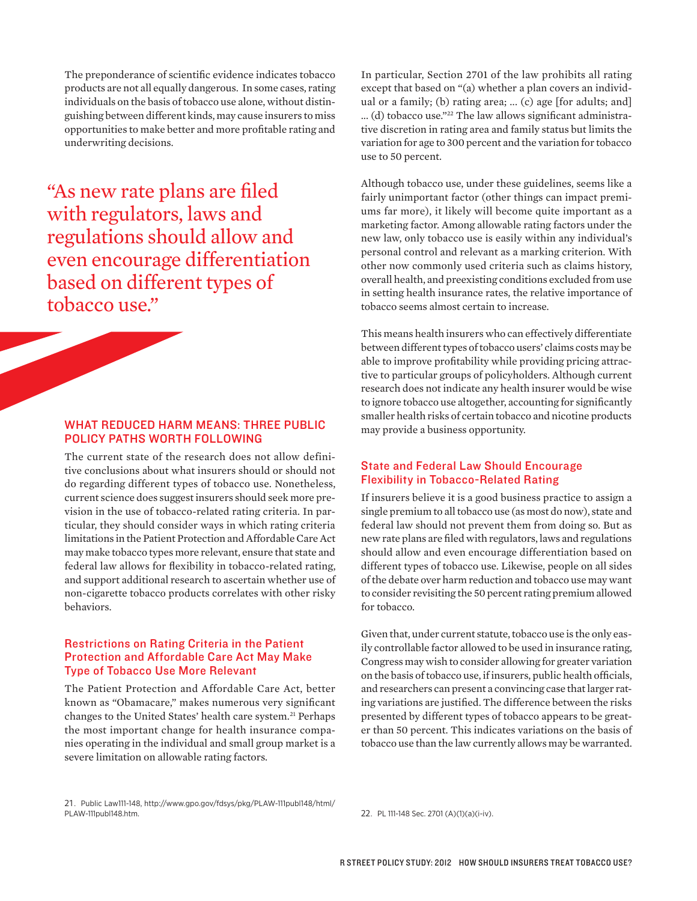The preponderance of scientific evidence indicates tobacco products are not all equally dangerous. In some cases, rating individuals on the basis of tobacco use alone, without distinguishing between different kinds, may cause insurers to miss opportunities to make better and more profitable rating and underwriting decisions.

"As new rate plans are filed with regulators, laws and regulations should allow and even encourage differentiation based on different types of tobacco use."

### WHAT REDUCED HARM MEANS: THREE PUBLIC POLICY PATHS WORTH FOLLOWING

The current state of the research does not allow definitive conclusions about what insurers should or should not do regarding different types of tobacco use. Nonetheless, current science does suggest insurers should seek more prevision in the use of tobacco-related rating criteria. In particular, they should consider ways in which rating criteria limitations in the Patient Protection and Affordable Care Act may make tobacco types more relevant, ensure that state and federal law allows for flexibility in tobacco-related rating, and support additional research to ascertain whether use of non-cigarette tobacco products correlates with other risky behaviors.

#### Restrictions on Rating Criteria in the Patient Protection and Affordable Care Act May Make Type of Tobacco Use More Relevant

The Patient Protection and Affordable Care Act, better known as "Obamacare," makes numerous very significant changes to the United States' health care system.<sup>21</sup> Perhaps the most important change for health insurance companies operating in the individual and small group market is a severe limitation on allowable rating factors.

In particular, Section 2701 of the law prohibits all rating except that based on "(a) whether a plan covers an individual or a family; (b) rating area; ... (c) age [for adults; and] ... (d) tobacco use."22 The law allows significant administrative discretion in rating area and family status but limits the variation for age to 300 percent and the variation for tobacco use to 50 percent.

Although tobacco use, under these guidelines, seems like a fairly unimportant factor (other things can impact premiums far more), it likely will become quite important as a marketing factor. Among allowable rating factors under the new law, only tobacco use is easily within any individual's personal control and relevant as a marking criterion. With other now commonly used criteria such as claims history, overall health, and preexisting conditions excluded from use in setting health insurance rates, the relative importance of tobacco seems almost certain to increase.

This means health insurers who can effectively differentiate between different types of tobacco users' claims costs may be able to improve profitability while providing pricing attractive to particular groups of policyholders. Although current research does not indicate any health insurer would be wise to ignore tobacco use altogether, accounting for significantly smaller health risks of certain tobacco and nicotine products may provide a business opportunity.

#### State and Federal Law Should Encourage Flexibility in Tobacco-Related Rating

If insurers believe it is a good business practice to assign a single premium to all tobacco use (as most do now), state and federal law should not prevent them from doing so. But as new rate plans are filed with regulators, laws and regulations should allow and even encourage differentiation based on different types of tobacco use. Likewise, people on all sides of the debate over harm reduction and tobacco use may want to consider revisiting the 50 percent rating premium allowed for tobacco.

Given that, under current statute, tobacco use is the only easily controllable factor allowed to be used in insurance rating, Congress may wish to consider allowing for greater variation on the basis of tobacco use, if insurers, public health officials, and researchers can present a convincing case that larger rating variations are justified. The difference between the risks presented by different types of tobacco appears to be greater than 50 percent. This indicates variations on the basis of tobacco use than the law currently allows may be warranted.

21. Public Law111-148, http://www.gpo.gov/fdsys/pkg/PLAW-111publ148/html/

22. PL 111-148 Sec. 2701 (A)(1)(a)(i-iv).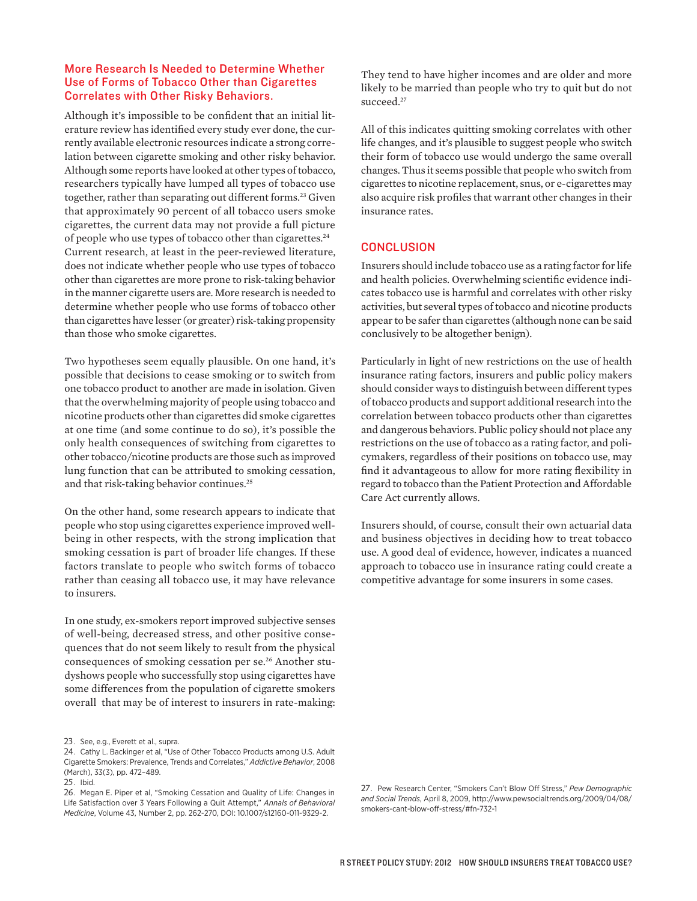#### More Research Is Needed to Determine Whether Use of Forms of Tobacco Other than Cigarettes Correlates with Other Risky Behaviors.

Although it's impossible to be confident that an initial literature review has identified every study ever done, the currently available electronic resources indicate a strong correlation between cigarette smoking and other risky behavior. Although some reports have looked at other types of tobacco, researchers typically have lumped all types of tobacco use together, rather than separating out different forms.<sup>23</sup> Given that approximately 90 percent of all tobacco users smoke cigarettes, the current data may not provide a full picture of people who use types of tobacco other than cigarettes.24 Current research, at least in the peer-reviewed literature, does not indicate whether people who use types of tobacco other than cigarettes are more prone to risk-taking behavior in the manner cigarette users are. More research is needed to determine whether people who use forms of tobacco other than cigarettes have lesser (or greater) risk-taking propensity than those who smoke cigarettes.

Two hypotheses seem equally plausible. On one hand, it's possible that decisions to cease smoking or to switch from one tobacco product to another are made in isolation. Given that the overwhelming majority of people using tobacco and nicotine products other than cigarettes did smoke cigarettes at one time (and some continue to do so), it's possible the only health consequences of switching from cigarettes to other tobacco/nicotine products are those such as improved lung function that can be attributed to smoking cessation, and that risk-taking behavior continues.<sup>25</sup>

On the other hand, some research appears to indicate that people who stop using cigarettes experience improved wellbeing in other respects, with the strong implication that smoking cessation is part of broader life changes. If these factors translate to people who switch forms of tobacco rather than ceasing all tobacco use, it may have relevance to insurers.

In one study, ex-smokers report improved subjective senses of well-being, decreased stress, and other positive consequences that do not seem likely to result from the physical consequences of smoking cessation per se.<sup>26</sup> Another studyshows people who successfully stop using cigarettes have some differences from the population of cigarette smokers overall that may be of interest to insurers in rate-making:

They tend to have higher incomes and are older and more likely to be married than people who try to quit but do not succeed.<sup>27</sup>

All of this indicates quitting smoking correlates with other life changes, and it's plausible to suggest people who switch their form of tobacco use would undergo the same overall changes. Thus it seems possible that people who switch from cigarettes to nicotine replacement, snus, or e-cigarettes may also acquire risk profiles that warrant other changes in their insurance rates.

#### **CONCLUSION**

Insurers should include tobacco use as a rating factor for life and health policies. Overwhelming scientific evidence indicates tobacco use is harmful and correlates with other risky activities, but several types of tobacco and nicotine products appear to be safer than cigarettes (although none can be said conclusively to be altogether benign).

Particularly in light of new restrictions on the use of health insurance rating factors, insurers and public policy makers should consider ways to distinguish between different types of tobacco products and support additional research into the correlation between tobacco products other than cigarettes and dangerous behaviors. Public policy should not place any restrictions on the use of tobacco as a rating factor, and policymakers, regardless of their positions on tobacco use, may find it advantageous to allow for more rating flexibility in regard to tobacco than the Patient Protection and Affordable Care Act currently allows.

Insurers should, of course, consult their own actuarial data and business objectives in deciding how to treat tobacco use. A good deal of evidence, however, indicates a nuanced approach to tobacco use in insurance rating could create a competitive advantage for some insurers in some cases.

<sup>23.</sup> See, e.g., Everett et al., supra.

<sup>24.</sup> Cathy L. Backinger et al, "Use of Other Tobacco Products among U.S. Adult Cigarette Smokers: Prevalence, Trends and Correlates," *Addictive Behavior*, 2008 (March), 33(3), pp. 472–489.

<sup>25.</sup> Ibid.

<sup>26.</sup> Megan E. Piper et al, "Smoking Cessation and Quality of Life: Changes in Life Satisfaction over 3 Years Following a Quit Attempt," *Annals of Behavioral Medicine*, Volume 43, Number 2, pp. 262-270, DOI: 10.1007/s12160-011-9329-2.

<sup>27.</sup> Pew Research Center, "Smokers Can't Blow Off Stress," *Pew Demographic and Social Trends*, April 8, 2009, http://www.pewsocialtrends.org/2009/04/08/ smokers-cant-blow-off-stress/#fn-732-1